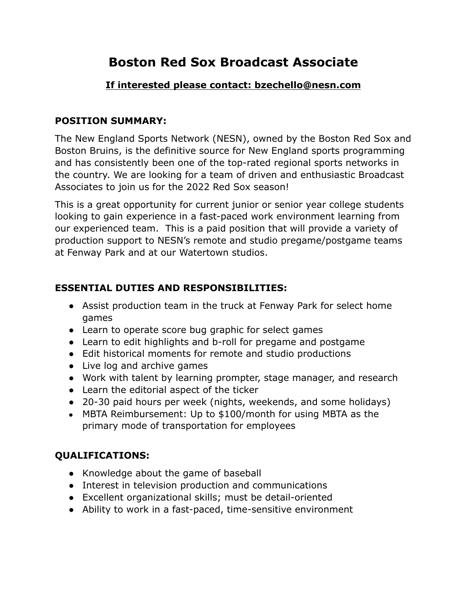# **Boston Red Sox Broadcast Associate**

### **If interested please contact: bzechello@nesn.com**

#### **POSITION SUMMARY:**

The New England Sports Network (NESN), owned by the Boston Red Sox and Boston Bruins, is the definitive source for New England sports programming and has consistently been one of the top-rated regional sports networks in the country. We are looking for a team of driven and enthusiastic Broadcast Associates to join us for the 2022 Red Sox season!

This is a great opportunity for current junior or senior year college students looking to gain experience in a fast-paced work environment learning from our experienced team. This is a paid position that will provide a variety of production support to NESN's remote and studio pregame/postgame teams at Fenway Park and at our Watertown studios.

# **ESSENTIAL DUTIES AND RESPONSIBILITIES:**

- Assist production team in the truck at Fenway Park for select home games
- Learn to operate score bug graphic for select games
- Learn to edit highlights and b-roll for pregame and postgame
- Edit historical moments for remote and studio productions
- Live log and archive games
- Work with talent by learning prompter, stage manager, and research
- Learn the editorial aspect of the ticker
- 20-30 paid hours per week (nights, weekends, and some holidays)
- MBTA Reimbursement: Up to \$100/month for using MBTA as the primary mode of transportation for employees

# **QUALIFICATIONS:**

- Knowledge about the game of baseball
- Interest in television production and communications
- Excellent organizational skills; must be detail-oriented
- Ability to work in a fast-paced, time-sensitive environment